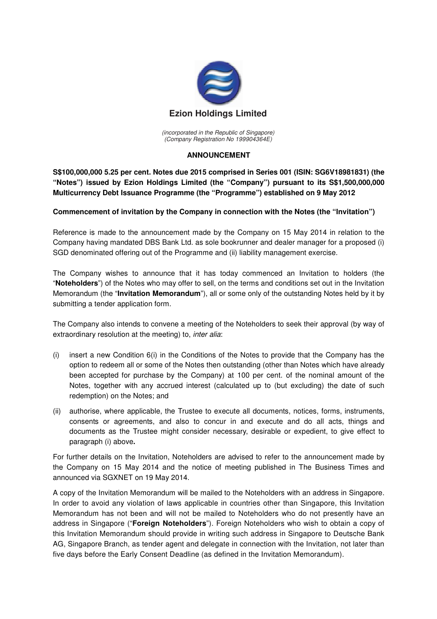

(incorporated in the Republic of Singapore) (Company Registration No 199904364E)

## **ANNOUNCEMENT**

**S\$100,000,000 5.25 per cent. Notes due 2015 comprised in Series 001 (ISIN: SG6V18981831) (the "Notes") issued by Ezion Holdings Limited (the "Company") pursuant to its S\$1,500,000,000 Multicurrency Debt Issuance Programme (the "Programme") established on 9 May 2012** 

## **Commencement of invitation by the Company in connection with the Notes (the "Invitation")**

Reference is made to the announcement made by the Company on 15 May 2014 in relation to the Company having mandated DBS Bank Ltd. as sole bookrunner and dealer manager for a proposed (i) SGD denominated offering out of the Programme and (ii) liability management exercise.

The Company wishes to announce that it has today commenced an Invitation to holders (the "**Noteholders**") of the Notes who may offer to sell, on the terms and conditions set out in the Invitation Memorandum (the "**Invitation Memorandum**"), all or some only of the outstanding Notes held by it by submitting a tender application form.

The Company also intends to convene a meeting of the Noteholders to seek their approval (by way of extraordinary resolution at the meeting) to, *inter alia*:

- (i) insert a new Condition 6(i) in the Conditions of the Notes to provide that the Company has the option to redeem all or some of the Notes then outstanding (other than Notes which have already been accepted for purchase by the Company) at 100 per cent. of the nominal amount of the Notes, together with any accrued interest (calculated up to (but excluding) the date of such redemption) on the Notes; and
- (ii) authorise, where applicable, the Trustee to execute all documents, notices, forms, instruments, consents or agreements, and also to concur in and execute and do all acts, things and documents as the Trustee might consider necessary, desirable or expedient, to give effect to paragraph (i) above**.**

For further details on the Invitation, Noteholders are advised to refer to the announcement made by the Company on 15 May 2014 and the notice of meeting published in The Business Times and announced via SGXNET on 19 May 2014.

A copy of the Invitation Memorandum will be mailed to the Noteholders with an address in Singapore. In order to avoid any violation of laws applicable in countries other than Singapore, this Invitation Memorandum has not been and will not be mailed to Noteholders who do not presently have an address in Singapore ("**Foreign Noteholders**"). Foreign Noteholders who wish to obtain a copy of this Invitation Memorandum should provide in writing such address in Singapore to Deutsche Bank AG, Singapore Branch, as tender agent and delegate in connection with the Invitation, not later than five days before the Early Consent Deadline (as defined in the Invitation Memorandum).